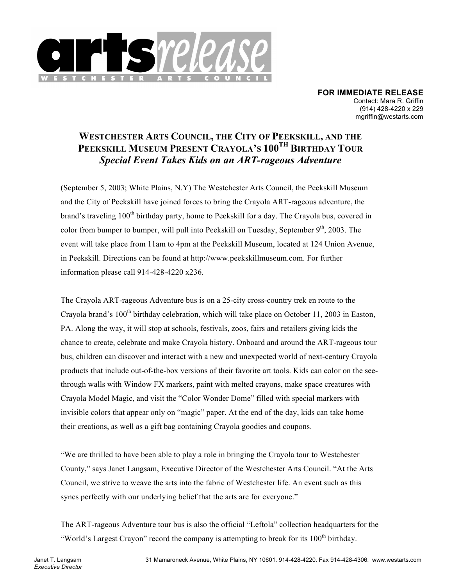

**FOR IMMEDIATE RELEASE** Contact: Mara R. Griffin (914) 428-4220 x 229 mgriffin@westarts.com

## **WESTCHESTER ARTS COUNCIL, THE CITY OF PEEKSKILL, AND THE PEEKSKILL MUSEUM PRESENT CRAYOLA'S 100TH BIRTHDAY TOUR** *Special Event Takes Kids on an ART-rageous Adventure*

(September 5, 2003; White Plains, N.Y) The Westchester Arts Council, the Peekskill Museum and the City of Peekskill have joined forces to bring the Crayola ART-rageous adventure, the brand's traveling  $100<sup>th</sup>$  birthday party, home to Peekskill for a day. The Crayola bus, covered in color from bumper to bumper, will pull into Peekskill on Tuesday, September  $9<sup>th</sup>$ , 2003. The event will take place from 11am to 4pm at the Peekskill Museum, located at 124 Union Avenue, in Peekskill. Directions can be found at http://www.peekskillmuseum.com. For further information please call 914-428-4220 x236.

The Crayola ART-rageous Adventure bus is on a 25-city cross-country trek en route to the Crayola brand's  $100<sup>th</sup>$  birthday celebration, which will take place on October 11, 2003 in Easton, PA. Along the way, it will stop at schools, festivals, zoos, fairs and retailers giving kids the chance to create, celebrate and make Crayola history. Onboard and around the ART-rageous tour bus, children can discover and interact with a new and unexpected world of next-century Crayola products that include out-of-the-box versions of their favorite art tools. Kids can color on the seethrough walls with Window FX markers, paint with melted crayons, make space creatures with Crayola Model Magic, and visit the "Color Wonder Dome" filled with special markers with invisible colors that appear only on "magic" paper. At the end of the day, kids can take home their creations, as well as a gift bag containing Crayola goodies and coupons.

"We are thrilled to have been able to play a role in bringing the Crayola tour to Westchester County," says Janet Langsam, Executive Director of the Westchester Arts Council. "At the Arts Council, we strive to weave the arts into the fabric of Westchester life. An event such as this syncs perfectly with our underlying belief that the arts are for everyone."

The ART-rageous Adventure tour bus is also the official "Leftola" collection headquarters for the "World's Largest Crayon" record the company is attempting to break for its  $100<sup>th</sup>$  birthday.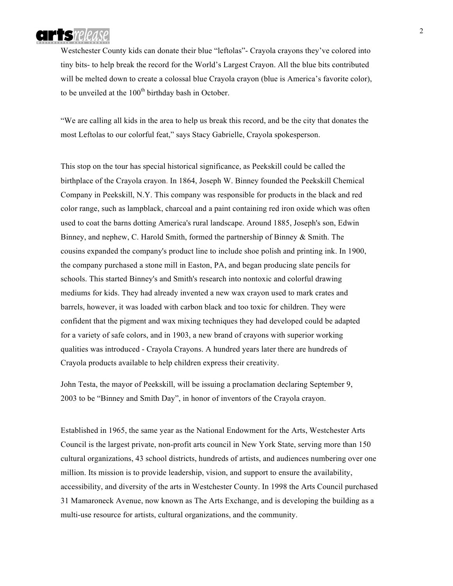

Westchester County kids can donate their blue "leftolas"- Crayola crayons they've colored into tiny bits- to help break the record for the World's Largest Crayon. All the blue bits contributed will be melted down to create a colossal blue Crayola crayon (blue is America's favorite color), to be unveiled at the  $100<sup>th</sup>$  birthday bash in October.

"We are calling all kids in the area to help us break this record, and be the city that donates the most Leftolas to our colorful feat," says Stacy Gabrielle, Crayola spokesperson.

This stop on the tour has special historical significance, as Peekskill could be called the birthplace of the Crayola crayon. In 1864, Joseph W. Binney founded the Peekskill Chemical Company in Peekskill, N.Y. This company was responsible for products in the black and red color range, such as lampblack, charcoal and a paint containing red iron oxide which was often used to coat the barns dotting America's rural landscape. Around 1885, Joseph's son, Edwin Binney, and nephew, C. Harold Smith, formed the partnership of Binney & Smith. The cousins expanded the company's product line to include shoe polish and printing ink. In 1900, the company purchased a stone mill in Easton, PA, and began producing slate pencils for schools. This started Binney's and Smith's research into nontoxic and colorful drawing mediums for kids. They had already invented a new wax crayon used to mark crates and barrels, however, it was loaded with carbon black and too toxic for children. They were confident that the pigment and wax mixing techniques they had developed could be adapted for a variety of safe colors, and in 1903, a new brand of crayons with superior working qualities was introduced - Crayola Crayons. A hundred years later there are hundreds of Crayola products available to help children express their creativity.

John Testa, the mayor of Peekskill, will be issuing a proclamation declaring September 9, 2003 to be "Binney and Smith Day", in honor of inventors of the Crayola crayon.

Established in 1965, the same year as the National Endowment for the Arts, Westchester Arts Council is the largest private, non-profit arts council in New York State, serving more than 150 cultural organizations, 43 school districts, hundreds of artists, and audiences numbering over one million. Its mission is to provide leadership, vision, and support to ensure the availability, accessibility, and diversity of the arts in Westchester County. In 1998 the Arts Council purchased 31 Mamaroneck Avenue, now known as The Arts Exchange, and is developing the building as a multi-use resource for artists, cultural organizations, and the community.